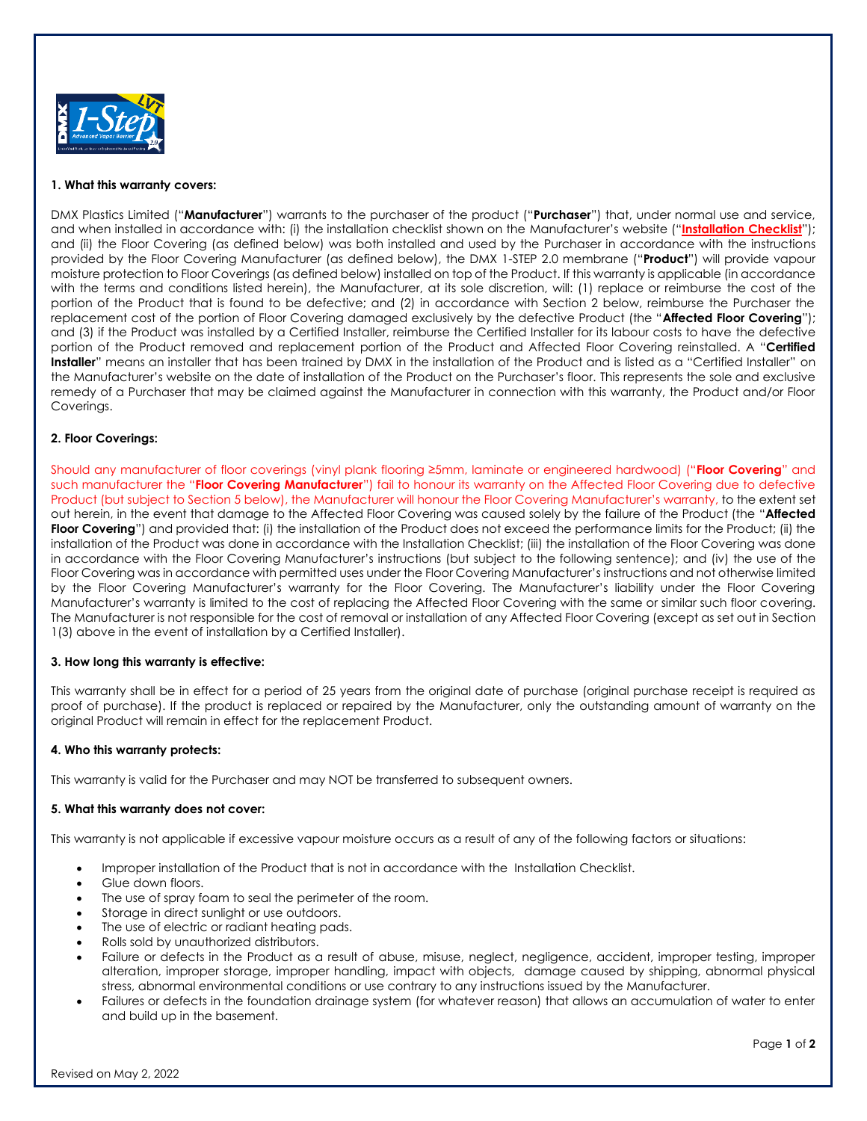

### **1. What this warranty covers:**

DMX Plastics Limited ("**Manufacturer**") warrants to the purchaser of the product ("**Purchaser**") that, under normal use and service, and when installed in accordance with: (i) the installation checklist shown on the Manufacturer's website ("**[Installation Checklist](https://www.dmxairflow.com/app/uploads/2019/07/DMX-Airflow-Premium-Installation-Checklist-2.pdf)**"); and (ii) the Floor Covering (as defined below) was both installed and used by the Purchaser in accordance with the instructions provided by the Floor Covering Manufacturer (as defined below), the DMX 1-STEP 2.0 membrane ("**Product**") will provide vapour moisture protection to Floor Coverings (as defined below) installed on top of the Product. If this warranty is applicable (in accordance with the terms and conditions listed herein), the Manufacturer, at its sole discretion, will: (1) replace or reimburse the cost of the portion of the Product that is found to be defective; and (2) in accordance with Section 2 below, reimburse the Purchaser the replacement cost of the portion of Floor Covering damaged exclusively by the defective Product (the "**Affected Floor Covering**"); and (3) if the Product was installed by a Certified Installer, reimburse the Certified Installer for its labour costs to have the defective portion of the Product removed and replacement portion of the Product and Affected Floor Covering reinstalled. A "**Certified Installer**" means an installer that has been trained by DMX in the installation of the Product and is listed as a "Certified Installer" on the Manufacturer's website on the date of installation of the Product on the Purchaser's floor. This represents the sole and exclusive remedy of a Purchaser that may be claimed against the Manufacturer in connection with this warranty, the Product and/or Floor Coverings.

### **2. Floor Coverings:**

Should any manufacturer of floor coverings (vinyl plank flooring ≥5mm, laminate or engineered hardwood) ("**Floor Covering**" and such manufacturer the "**Floor Covering Manufacturer**") fail to honour its warranty on the Affected Floor Covering due to defective Product (but subject to Section 5 below), the Manufacturer will honour the Floor Covering Manufacturer's warranty, to the extent set out herein, in the event that damage to the Affected Floor Covering was caused solely by the failure of the Product (the "**Affected Floor Covering**") and provided that: (i) the installation of the Product does not exceed the performance limits for the Product; (ii) the installation of the Product was done in accordance with the Installation Checklist; (iii) the installation of the Floor Covering was done in accordance with the Floor Covering Manufacturer's instructions (but subject to the following sentence); and (iv) the use of the Floor Covering was in accordance with permitted uses under the Floor Covering Manufacturer's instructions and not otherwise limited by the Floor Covering Manufacturer's warranty for the Floor Covering. The Manufacturer's liability under the Floor Covering Manufacturer's warranty is limited to the cost of replacing the Affected Floor Covering with the same or similar such floor covering. The Manufacturer is not responsible for the cost of removal or installation of any Affected Floor Covering (except as set out in Section 1(3) above in the event of installation by a Certified Installer).

# **3. How long this warranty is effective:**

This warranty shall be in effect for a period of 25 years from the original date of purchase (original purchase receipt is required as proof of purchase). If the product is replaced or repaired by the Manufacturer, only the outstanding amount of warranty on the original Product will remain in effect for the replacement Product.

# **4. Who this warranty protects:**

This warranty is valid for the Purchaser and may NOT be transferred to subsequent owners.

# **5. What this warranty does not cover:**

This warranty is not applicable if excessive vapour moisture occurs as a result of any of the following factors or situations:

- Improper installation of the Product that is not in accordance with the Installation Checklist.
- Glue down floors.
- The use of spray foam to seal the perimeter of the room.
- Storage in direct sunlight or use outdoors.
- The use of electric or radiant heating pads.
- Rolls sold by unauthorized distributors.
- Failure or defects in the Product as a result of abuse, misuse, neglect, negligence, accident, improper testing, improper alteration, improper storage, improper handling, impact with objects, damage caused by shipping, abnormal physical stress, abnormal environmental conditions or use contrary to any instructions issued by the Manufacturer.
- Failures or defects in the foundation drainage system (for whatever reason) that allows an accumulation of water to enter and build up in the basement.